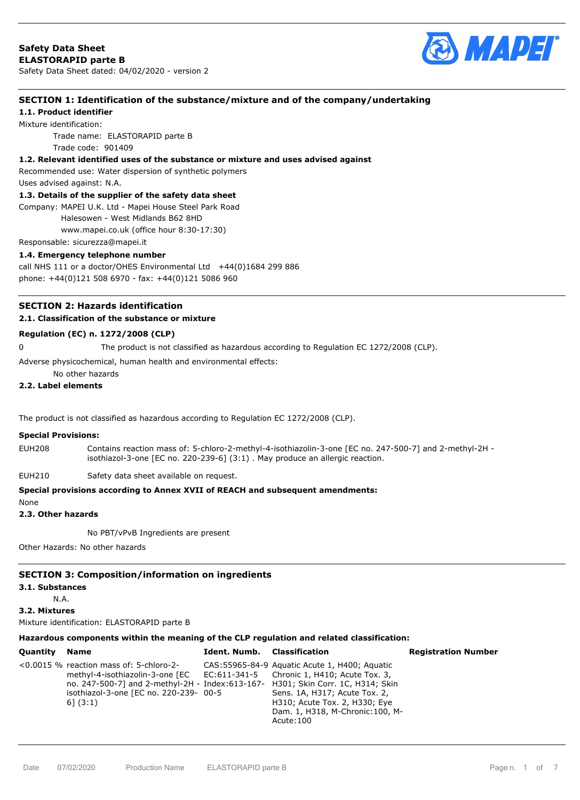

### **SECTION 1: Identification of the substance/mixture and of the company/undertaking**

**1.1. Product identifier**

Mixture identification:

Trade name: ELASTORAPID parte B Trade code: 901409

#### **1.2. Relevant identified uses of the substance or mixture and uses advised against**

Recommended use: Water dispersion of synthetic polymers Uses advised against: N.A.

# **1.3. Details of the supplier of the safety data sheet**

Company: MAPEI U.K. Ltd - Mapei House Steel Park Road

Halesowen - West Midlands B62 8HD

www.mapei.co.uk (office hour 8:30-17:30)

# Responsable: sicurezza@mapei.it

**1.4. Emergency telephone number** call NHS 111 or a doctor/OHES Environmental Ltd +44(0)1684 299 886 phone: +44(0)121 508 6970 - fax: +44(0)121 5086 960

### **SECTION 2: Hazards identification**

### **2.1. Classification of the substance or mixture**

#### **Regulation (EC) n. 1272/2008 (CLP)**

0 The product is not classified as hazardous according to Regulation EC 1272/2008 (CLP).

Adverse physicochemical, human health and environmental effects:

No other hazards

### **2.2. Label elements**

The product is not classified as hazardous according to Regulation EC 1272/2008 (CLP).

#### **Special Provisions:**

EUH208 Contains reaction mass of: 5-chloro-2-methyl-4-isothiazolin-3-one [EC no. 247-500-7] and 2-methyl-2H isothiazol-3-one [EC no. 220-239-6] (3:1) . May produce an allergic reaction.

EUH210 Safety data sheet available on request.

#### **Special provisions according to Annex XVII of REACH and subsequent amendments:**

None

#### **2.3. Other hazards**

No PBT/vPvB Ingredients are present

Other Hazards: No other hazards

# **SECTION 3: Composition/information on ingredients**

# **3.1. Substances**

N.A.

**3.2. Mixtures**

Mixture identification: ELASTORAPID parte B

### **Hazardous components within the meaning of the CLP regulation and related classification:**

| Quantity | <b>Name</b>                                                                                                                                                                                                                                                             | <b>Ident. Numb.</b> Classification |                                                                                                                                                                    | <b>Registration Number</b> |
|----------|-------------------------------------------------------------------------------------------------------------------------------------------------------------------------------------------------------------------------------------------------------------------------|------------------------------------|--------------------------------------------------------------------------------------------------------------------------------------------------------------------|----------------------------|
|          | $<$ 0.0015 % reaction mass of: 5-chloro-2-<br>methyl-4-isothiazolin-3-one [EC EC:611-341-5 Chronic 1, H410; Acute Tox. 3,<br>no. 247-500-7] and 2-methyl-2H - Index:613-167- H301; Skin Corr. 1C, H314; Skin<br>isothiazol-3-one [EC no. 220-239- 00-5<br>$6$ ] $(3:1)$ |                                    | CAS: 55965-84-9 Aguatic Acute 1, H400; Aguatic<br>Sens. 1A, H317; Acute Tox. 2,<br>H310; Acute Tox. 2, H330; Eye<br>Dam. 1, H318, M-Chronic: 100, M-<br>Acute: 100 |                            |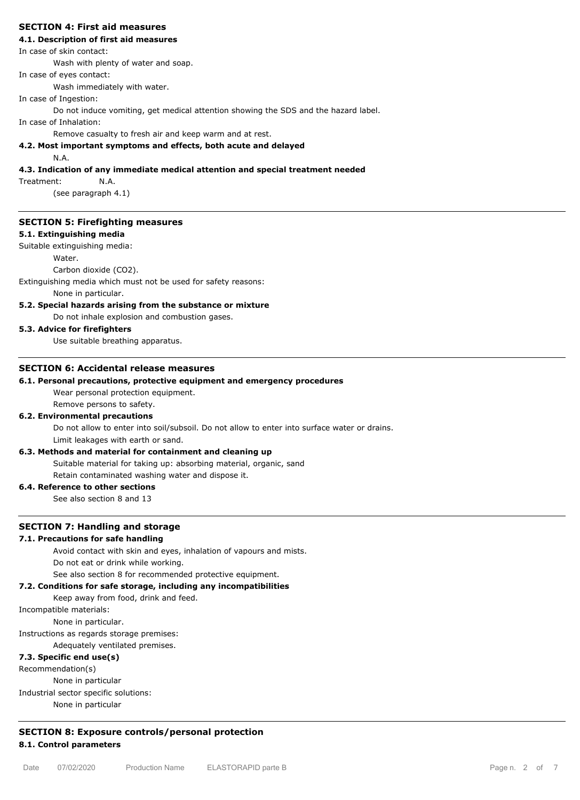#### **SECTION 4: First aid measures**

### **4.1. Description of first aid measures**

In case of skin contact:

Wash with plenty of water and soap.

In case of eyes contact:

Wash immediately with water.

In case of Ingestion:

Do not induce vomiting, get medical attention showing the SDS and the hazard label.

In case of Inhalation:

Remove casualty to fresh air and keep warm and at rest.

### **4.2. Most important symptoms and effects, both acute and delayed**

N.A.

#### **4.3. Indication of any immediate medical attention and special treatment needed**

Treatment: N.A.

(see paragraph 4.1)

#### **SECTION 5: Firefighting measures**

#### **5.1. Extinguishing media**

Suitable extinguishing media:

Water.

Carbon dioxide (CO2).

Extinguishing media which must not be used for safety reasons:

None in particular.

### **5.2. Special hazards arising from the substance or mixture**

Do not inhale explosion and combustion gases.

# **5.3. Advice for firefighters**

Use suitable breathing apparatus.

### **SECTION 6: Accidental release measures**

#### **6.1. Personal precautions, protective equipment and emergency procedures**

Wear personal protection equipment.

Remove persons to safety.

### **6.2. Environmental precautions**

Do not allow to enter into soil/subsoil. Do not allow to enter into surface water or drains. Limit leakages with earth or sand.

### **6.3. Methods and material for containment and cleaning up**

Suitable material for taking up: absorbing material, organic, sand

Retain contaminated washing water and dispose it.

### **6.4. Reference to other sections**

See also section 8 and 13

### **SECTION 7: Handling and storage**

#### **7.1. Precautions for safe handling**

Avoid contact with skin and eyes, inhalation of vapours and mists.

Do not eat or drink while working.

See also section 8 for recommended protective equipment.

### **7.2. Conditions for safe storage, including any incompatibilities**

### Keep away from food, drink and feed.

Incompatible materials:

None in particular.

Instructions as regards storage premises:

### Adequately ventilated premises.

### **7.3. Specific end use(s)**

Recommendation(s) None in particular Industrial sector specific solutions: None in particular

# **SECTION 8: Exposure controls/personal protection 8.1. Control parameters**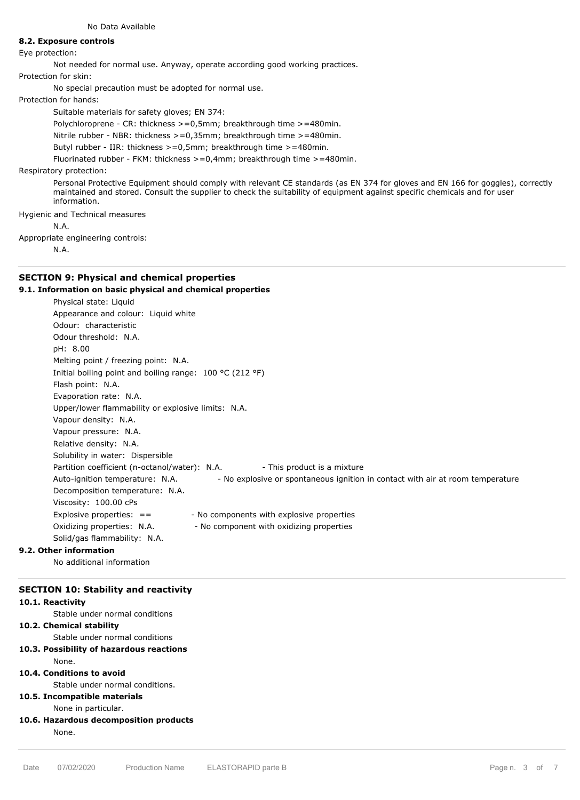#### **8.2. Exposure controls**

Eye protection:

Not needed for normal use. Anyway, operate according good working practices.

Protection for skin:

No special precaution must be adopted for normal use.

#### Protection for hands:

Suitable materials for safety gloves; EN 374:

Polychloroprene - CR: thickness >=0,5mm; breakthrough time >=480min.

Nitrile rubber - NBR: thickness >=0,35mm; breakthrough time >=480min.

Butyl rubber - IIR: thickness >=0,5mm; breakthrough time >=480min.

Fluorinated rubber - FKM: thickness >=0,4mm; breakthrough time >=480min.

#### Respiratory protection:

Personal Protective Equipment should comply with relevant CE standards (as EN 374 for gloves and EN 166 for goggles), correctly maintained and stored. Consult the supplier to check the suitability of equipment against specific chemicals and for user information.

Hygienic and Technical measures

N.A.

Appropriate engineering controls:

N.A.

### **SECTION 9: Physical and chemical properties**

### **9.1. Information on basic physical and chemical properties**

Physical state: Liquid Appearance and colour: Liquid white Odour: characteristic Odour threshold: N.A. pH: 8.00 Melting point / freezing point: N.A. Initial boiling point and boiling range: 100 °C (212 °F) Flash point: N.A. Evaporation rate: N.A. Upper/lower flammability or explosive limits: N.A. Vapour density: N.A. Vapour pressure: N.A. Relative density: N.A. Solubility in water: Dispersible Partition coefficient (n-octanol/water): N.A. - This product is a mixture Auto-ignition temperature: N.A. - No explosive or spontaneous ignition in contact with air at room temperature Decomposition temperature: N.A. Viscosity: 100.00 cPs Explosive properties:  $=$   $=$   $\sim$  - No components with explosive properties Oxidizing properties: N.A. - No component with oxidizing properties Solid/gas flammability: N.A.

### **9.2. Other information**

No additional information

### **SECTION 10: Stability and reactivity**

#### **10.1. Reactivity**

Stable under normal conditions

### **10.2. Chemical stability**

Stable under normal conditions

# **10.3. Possibility of hazardous reactions**

None.

## **10.4. Conditions to avoid**

Stable under normal conditions.

**10.5. Incompatible materials**

#### None in particular.

**10.6. Hazardous decomposition products** None.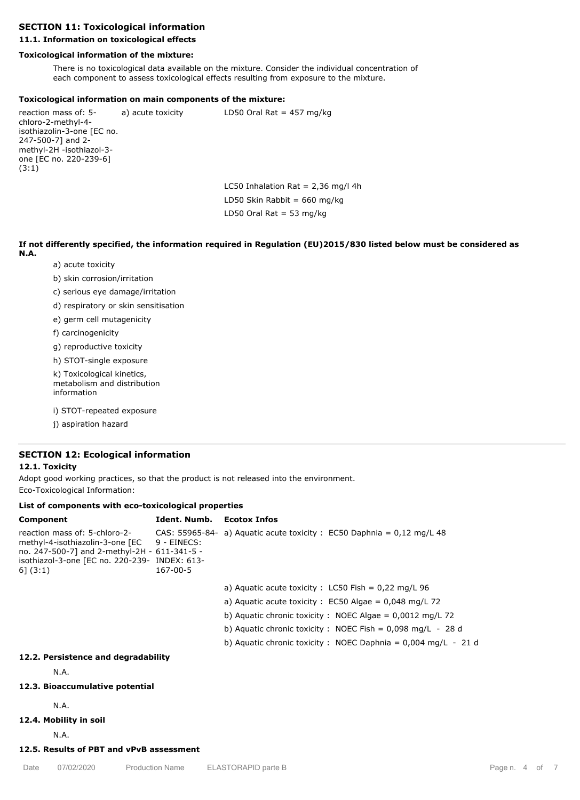### **SECTION 11: Toxicological information**

## **11.1. Information on toxicological effects**

### **Toxicological information of the mixture:**

There is no toxicological data available on the mixture. Consider the individual concentration of each component to assess toxicological effects resulting from exposure to the mixture.

### **Toxicological information on main components of the mixture:**

reaction mass of: 5 chloro-2-methyl-4 isothiazolin-3-one [EC no. 247-500-7] and 2 methyl-2H -isothiazol-3 one [EC no. 220-239-6] (3:1) a) acute toxicity LD50 Oral Rat = 457 mg/kg

LC50 Inhalation Rat =  $2,36$  mg/l 4h LD50 Skin Rabbit =  $660$  mg/kg LD50 Oral Rat = 53 mg/kg

**If not differently specified, the information required in Regulation (EU)2015/830 listed below must be considered as N.A.**

- a) acute toxicity
- b) skin corrosion/irritation
- c) serious eye damage/irritation
- d) respiratory or skin sensitisation
- e) germ cell mutagenicity
- f) carcinogenicity
- g) reproductive toxicity
- h) STOT-single exposure
- k) Toxicological kinetics, metabolism and distribution information
- i) STOT-repeated exposure
- j) aspiration hazard

### **SECTION 12: Ecological information**

#### **12.1. Toxicity**

Adopt good working practices, so that the product is not released into the environment. Eco-Toxicological Information:

#### **List of components with eco-toxicological properties**

| Component                                                                                                                                                                          | Ident. Numb.                       | <b>Ecotox Infos</b>                                                               |
|------------------------------------------------------------------------------------------------------------------------------------------------------------------------------------|------------------------------------|-----------------------------------------------------------------------------------|
| reaction mass of: 5-chloro-2-<br>methyl-4-isothiazolin-3-one [EC<br>no. 247-500-7] and 2-methyl-2H - 611-341-5 -<br>isothiazol-3-one [EC no. 220-239- INDEX: 613-<br>$6$ ] $(3:1)$ | $9$ - $EINECS$ :<br>$167 - 00 - 5$ | CAS: 55965-84- a) Aquatic acute toxicity : EC50 Daphnia = $0.12 \text{ mg/L } 48$ |
|                                                                                                                                                                                    |                                    | a) Aquatic acute toxicity : LC50 Fish = $0.22 \text{ mg/L } 96$                   |
|                                                                                                                                                                                    |                                    | a) Aquatic acute toxicity : $EC50$ Algae = 0,048 mg/L 72                          |
|                                                                                                                                                                                    |                                    | b) Aquatic chronic toxicity : NOEC Algae = $0.0012$ mg/L 72                       |
|                                                                                                                                                                                    |                                    | b) Aquatic chronic toxicity : NOEC Fish = $0.098$ mg/L - 28 d                     |
|                                                                                                                                                                                    |                                    | b) Aquatic chronic toxicity : NOEC Daphnia = $0.004$ mg/L - 21 d                  |
| 12.2. Persistence and degradability                                                                                                                                                |                                    |                                                                                   |
| N.A.                                                                                                                                                                               |                                    |                                                                                   |
| 12.3. Bioaccumulative potential                                                                                                                                                    |                                    |                                                                                   |
| N.A.                                                                                                                                                                               |                                    |                                                                                   |

#### **12.4. Mobility in soil**

N.A.

### **12.5. Results of PBT and vPvB assessment**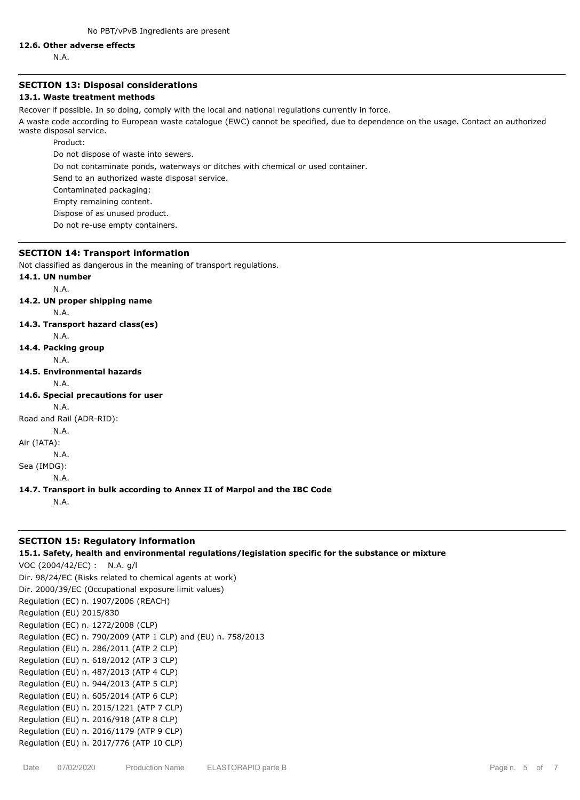#### **12.6. Other adverse effects**

N.A.

#### **SECTION 13: Disposal considerations**

#### **13.1. Waste treatment methods**

Recover if possible. In so doing, comply with the local and national regulations currently in force.

A waste code according to European waste catalogue (EWC) cannot be specified, due to dependence on the usage. Contact an authorized waste disposal service.

Product:

Do not dispose of waste into sewers.

Do not contaminate ponds, waterways or ditches with chemical or used container.

Send to an authorized waste disposal service.

Contaminated packaging:

Empty remaining content.

Dispose of as unused product.

Do not re-use empty containers.

#### **SECTION 14: Transport information**

Not classified as dangerous in the meaning of transport regulations.

# **14.1. UN number**

N.A.

**14.2. UN proper shipping name**

N.A.

- **14.3. Transport hazard class(es)**
	- N.A.
- **14.4. Packing group**
	- N.A.

# **14.5. Environmental hazards**

- N.A.
- **14.6. Special precautions for user**

N.A.

Road and Rail (ADR-RID):

N.A.

Air (IATA):

N.A.

Sea (IMDG):

N.A.

**14.7. Transport in bulk according to Annex II of Marpol and the IBC Code**

N.A.

### **SECTION 15: Regulatory information**

# **15.1. Safety, health and environmental regulations/legislation specific for the substance or mixture**

VOC (2004/42/EC) : N.A. g/l Dir. 98/24/EC (Risks related to chemical agents at work) Dir. 2000/39/EC (Occupational exposure limit values) Regulation (EC) n. 1907/2006 (REACH) Regulation (EU) 2015/830 Regulation (EC) n. 1272/2008 (CLP) Regulation (EC) n. 790/2009 (ATP 1 CLP) and (EU) n. 758/2013 Regulation (EU) n. 286/2011 (ATP 2 CLP) Regulation (EU) n. 618/2012 (ATP 3 CLP) Regulation (EU) n. 487/2013 (ATP 4 CLP) Regulation (EU) n. 944/2013 (ATP 5 CLP) Regulation (EU) n. 605/2014 (ATP 6 CLP) Regulation (EU) n. 2015/1221 (ATP 7 CLP) Regulation (EU) n. 2016/918 (ATP 8 CLP) Regulation (EU) n. 2016/1179 (ATP 9 CLP) Regulation (EU) n. 2017/776 (ATP 10 CLP)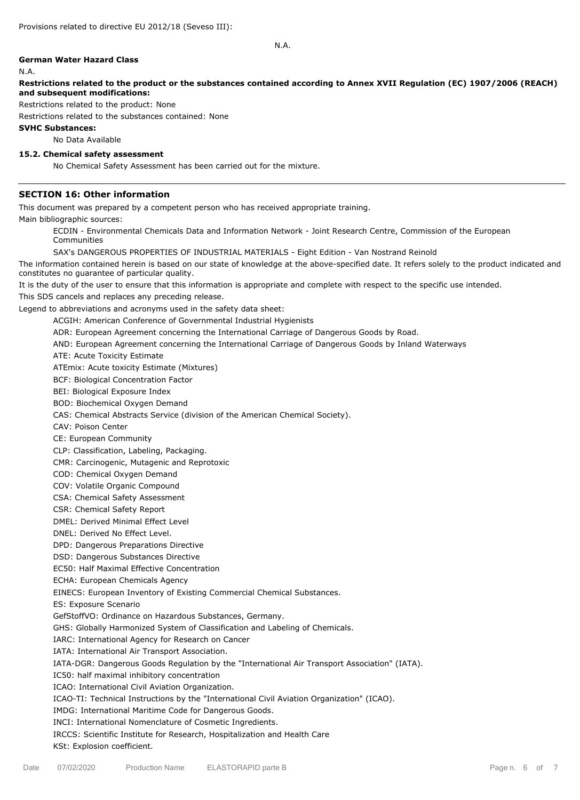#### **German Water Hazard Class**

N.A.

**Restrictions related to the product or the substances contained according to Annex XVII Regulation (EC) 1907/2006 (REACH) and subsequent modifications:**

Restrictions related to the product: None

Restrictions related to the substances contained: None

#### **SVHC Substances:**

No Data Available

### **15.2. Chemical safety assessment**

No Chemical Safety Assessment has been carried out for the mixture.

#### **SECTION 16: Other information**

This document was prepared by a competent person who has received appropriate training.

Main bibliographic sources:

ECDIN - Environmental Chemicals Data and Information Network - Joint Research Centre, Commission of the European Communities

SAX's DANGEROUS PROPERTIES OF INDUSTRIAL MATERIALS - Eight Edition - Van Nostrand Reinold

The information contained herein is based on our state of knowledge at the above-specified date. It refers solely to the product indicated and constitutes no guarantee of particular quality.

It is the duty of the user to ensure that this information is appropriate and complete with respect to the specific use intended.

This SDS cancels and replaces any preceding release.

Legend to abbreviations and acronyms used in the safety data sheet:

ACGIH: American Conference of Governmental Industrial Hygienists

ADR: European Agreement concerning the International Carriage of Dangerous Goods by Road.

AND: European Agreement concerning the International Carriage of Dangerous Goods by Inland Waterways

ATE: Acute Toxicity Estimate

ATEmix: Acute toxicity Estimate (Mixtures)

BCF: Biological Concentration Factor

BEI: Biological Exposure Index

BOD: Biochemical Oxygen Demand

CAS: Chemical Abstracts Service (division of the American Chemical Society).

CAV: Poison Center

CE: European Community

CLP: Classification, Labeling, Packaging.

CMR: Carcinogenic, Mutagenic and Reprotoxic

COD: Chemical Oxygen Demand

COV: Volatile Organic Compound

CSA: Chemical Safety Assessment

CSR: Chemical Safety Report

DMEL: Derived Minimal Effect Level

DNEL: Derived No Effect Level.

DPD: Dangerous Preparations Directive

DSD: Dangerous Substances Directive

EC50: Half Maximal Effective Concentration

ECHA: European Chemicals Agency

EINECS: European Inventory of Existing Commercial Chemical Substances.

ES: Exposure Scenario

GefStoffVO: Ordinance on Hazardous Substances, Germany.

GHS: Globally Harmonized System of Classification and Labeling of Chemicals.

IARC: International Agency for Research on Cancer

IATA: International Air Transport Association.

IATA-DGR: Dangerous Goods Regulation by the "International Air Transport Association" (IATA).

IC50: half maximal inhibitory concentration

ICAO: International Civil Aviation Organization.

ICAO-TI: Technical Instructions by the "International Civil Aviation Organization" (ICAO).

IMDG: International Maritime Code for Dangerous Goods.

INCI: International Nomenclature of Cosmetic Ingredients.

IRCCS: Scientific Institute for Research, Hospitalization and Health Care

KSt: Explosion coefficient.